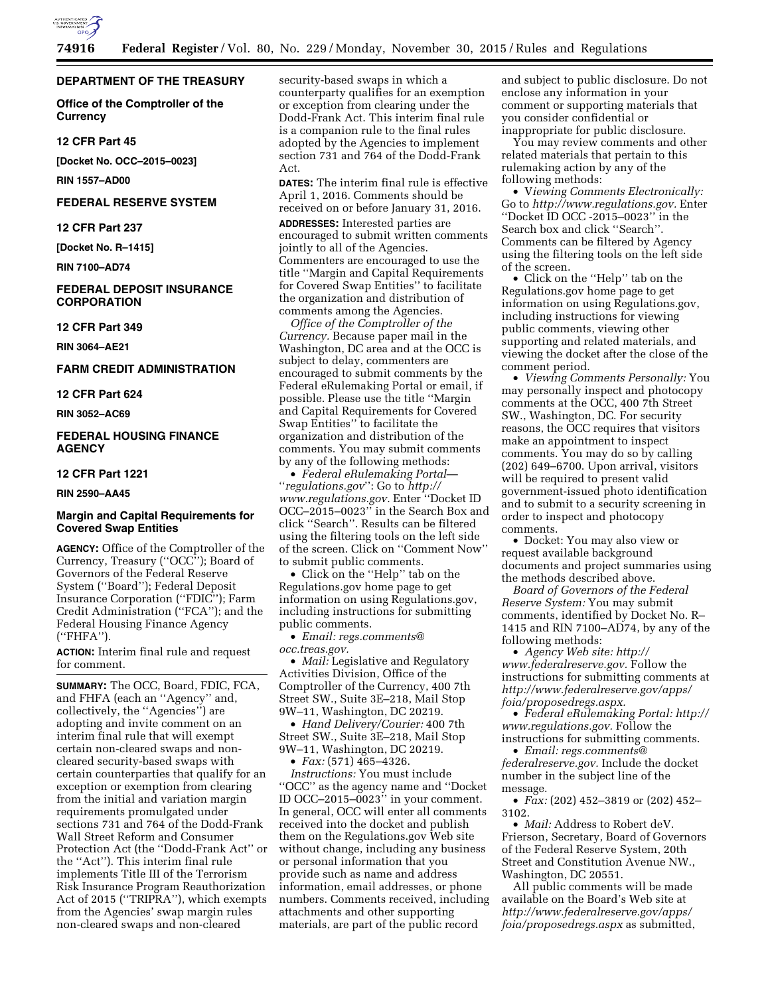

### **DEPARTMENT OF THE TREASURY**

**Office of the Comptroller of the Currency** 

#### **12 CFR Part 45**

**[Docket No. OCC–2015–0023]** 

**RIN 1557–AD00** 

## **FEDERAL RESERVE SYSTEM**

**12 CFR Part 237** 

**[Docket No. R–1415]** 

**RIN 7100–AD74** 

## **FEDERAL DEPOSIT INSURANCE CORPORATION**

#### **12 CFR Part 349**

**RIN 3064–AE21** 

## **FARM CREDIT ADMINISTRATION**

**12 CFR Part 624** 

**RIN 3052–AC69** 

## **FEDERAL HOUSING FINANCE AGENCY**

### **12 CFR Part 1221**

**RIN 2590–AA45** 

### **Margin and Capital Requirements for Covered Swap Entities**

**AGENCY:** Office of the Comptroller of the Currency, Treasury (''OCC''); Board of Governors of the Federal Reserve System (''Board''); Federal Deposit Insurance Corporation (''FDIC''); Farm Credit Administration (''FCA''); and the Federal Housing Finance Agency (''FHFA'').

**ACTION:** Interim final rule and request for comment.

**SUMMARY:** The OCC, Board, FDIC, FCA, and FHFA (each an ''Agency'' and, collectively, the ''Agencies'') are adopting and invite comment on an interim final rule that will exempt certain non-cleared swaps and noncleared security-based swaps with certain counterparties that qualify for an exception or exemption from clearing from the initial and variation margin requirements promulgated under sections 731 and 764 of the Dodd-Frank Wall Street Reform and Consumer Protection Act (the ''Dodd-Frank Act'' or the ''Act''). This interim final rule implements Title III of the Terrorism Risk Insurance Program Reauthorization Act of 2015 (''TRIPRA''), which exempts from the Agencies' swap margin rules non-cleared swaps and non-cleared

security-based swaps in which a counterparty qualifies for an exemption or exception from clearing under the Dodd-Frank Act. This interim final rule is a companion rule to the final rules adopted by the Agencies to implement section 731 and 764 of the Dodd-Frank Act.

**DATES:** The interim final rule is effective April 1, 2016. Comments should be received on or before January 31, 2016.

**ADDRESSES:** Interested parties are encouraged to submit written comments jointly to all of the Agencies. Commenters are encouraged to use the title ''Margin and Capital Requirements for Covered Swap Entities'' to facilitate the organization and distribution of comments among the Agencies.

*Office of the Comptroller of the Currency.* Because paper mail in the Washington, DC area and at the OCC is subject to delay, commenters are encouraged to submit comments by the Federal eRulemaking Portal or email, if possible. Please use the title ''Margin and Capital Requirements for Covered Swap Entities'' to facilitate the organization and distribution of the comments. You may submit comments by any of the following methods:

• *Federal eRulemaking Portal*— ''*regulations.gov*'': Go to *[http://](http://www.regulations.gov) [www.regulations.gov.](http://www.regulations.gov)* Enter ''Docket ID OCC–2015–0023'' in the Search Box and click ''Search''. Results can be filtered using the filtering tools on the left side of the screen. Click on ''Comment Now'' to submit public comments.

• Click on the ''Help'' tab on the Regulations.gov home page to get information on using Regulations.gov, including instructions for submitting public comments.

• *Email: [regs.comments@](mailto:regs.comments@occ.treas.gov) [occ.treas.gov.](mailto:regs.comments@occ.treas.gov)* 

• *Mail:* Legislative and Regulatory Activities Division, Office of the Comptroller of the Currency, 400 7th Street SW., Suite 3E–218, Mail Stop 9W–11, Washington, DC 20219.

• *Hand Delivery/Courier:* 400 7th Street SW., Suite 3E–218, Mail Stop 9W–11, Washington, DC 20219.

• *Fax:* (571) 465–4326.

*Instructions:* You must include ''OCC'' as the agency name and ''Docket ID OCC–2015–0023'' in your comment. In general, OCC will enter all comments received into the docket and publish them on the Regulations.gov Web site without change, including any business or personal information that you provide such as name and address information, email addresses, or phone numbers. Comments received, including attachments and other supporting materials, are part of the public record

and subject to public disclosure. Do not enclose any information in your comment or supporting materials that you consider confidential or inappropriate for public disclosure.

You may review comments and other related materials that pertain to this rulemaking action by any of the following methods:

• V*iewing Comments Electronically:*  Go to *[http://www.regulations.gov.](http://www.regulations.gov)* Enter ''Docket ID OCC -2015–0023'' in the Search box and click ''Search''. Comments can be filtered by Agency using the filtering tools on the left side of the screen.

• Click on the ''Help'' tab on the Regulations.gov home page to get information on using Regulations.gov, including instructions for viewing public comments, viewing other supporting and related materials, and viewing the docket after the close of the comment period.

• *Viewing Comments Personally:* You may personally inspect and photocopy comments at the OCC, 400 7th Street SW., Washington, DC. For security reasons, the OCC requires that visitors make an appointment to inspect comments. You may do so by calling (202) 649–6700. Upon arrival, visitors will be required to present valid government-issued photo identification and to submit to a security screening in order to inspect and photocopy comments.

• Docket: You may also view or request available background documents and project summaries using the methods described above.

*Board of Governors of the Federal Reserve System:* You may submit comments, identified by Docket No. R– 1415 and RIN 7100–AD74, by any of the following methods:

• *Agency Web site: [http://](http://www.federalreserve.gov) [www.federalreserve.gov.](http://www.federalreserve.gov)* Follow the instructions for submitting comments at *[http://www.federalreserve.gov/apps/](http://www.federalreserve.gov/apps/foia/proposedregs.aspx) [foia/proposedregs.aspx.](http://www.federalreserve.gov/apps/foia/proposedregs.aspx)* 

• *Federal eRulemaking Portal: [http://](http://www.regulations.gov)  [www.regulations.gov.](http://www.regulations.gov)* Follow the instructions for submitting comments.

• *Email: [regs.comments@](mailto:regs.comments@federalreserve.gov) [federalreserve.gov.](mailto:regs.comments@federalreserve.gov)* Include the docket number in the subject line of the message.

• *Fax:* (202) 452–3819 or (202) 452– 3102.

• *Mail:* Address to Robert deV. Frierson, Secretary, Board of Governors of the Federal Reserve System, 20th Street and Constitution Avenue NW., Washington, DC 20551.

All public comments will be made available on the Board's Web site at *[http://www.federalreserve.gov/apps/](http://www.federalreserve.gov/apps/foia/proposedregs.aspx) [foia/proposedregs.aspx](http://www.federalreserve.gov/apps/foia/proposedregs.aspx)* as submitted,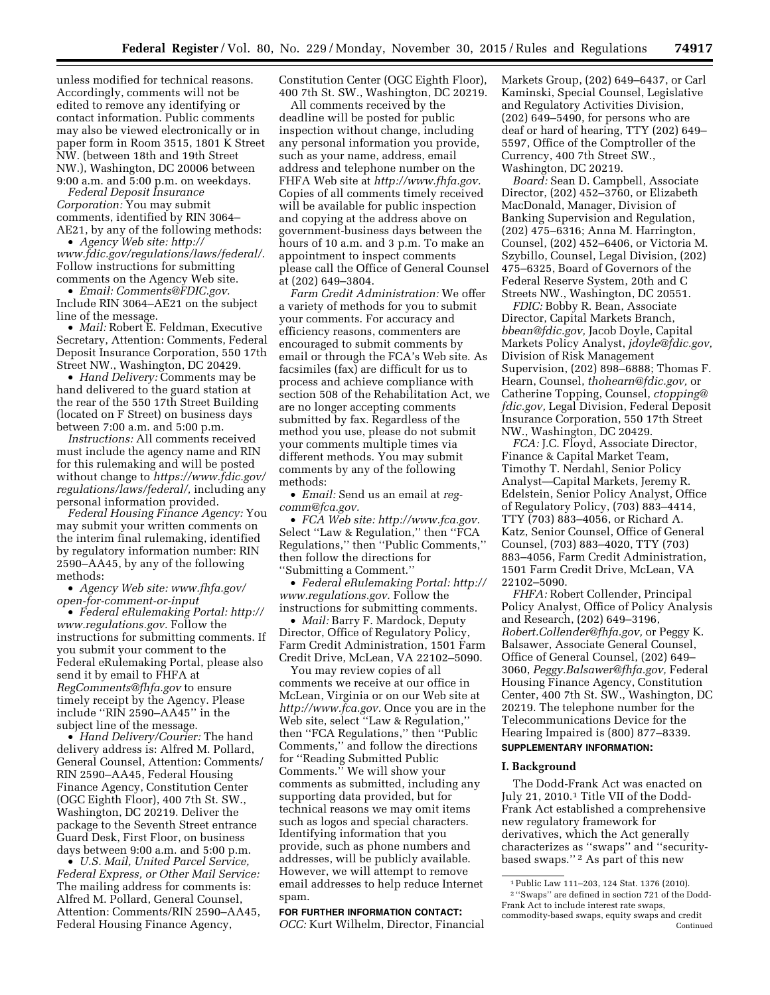unless modified for technical reasons. Accordingly, comments will not be edited to remove any identifying or contact information. Public comments may also be viewed electronically or in paper form in Room 3515, 1801 K Street NW. (between 18th and 19th Street NW.), Washington, DC 20006 between 9:00 a.m. and 5:00 p.m. on weekdays.

*Federal Deposit Insurance Corporation:* You may submit comments, identified by RIN 3064– AE21, by any of the following methods:

• *Agency Web site: [http://](http://www.fdic.gov/regulations/laws/federal/) [www.fdic.gov/regulations/laws/federal/.](http://www.fdic.gov/regulations/laws/federal/)*  Follow instructions for submitting comments on the Agency Web site.

• *Email: [Comments@FDIC.gov.](mailto:Comments@FDIC.gov)*  Include RIN 3064–AE21 on the subject line of the message.

• *Mail:* Robert E. Feldman, Executive Secretary, Attention: Comments, Federal Deposit Insurance Corporation, 550 17th Street NW., Washington, DC 20429.

• *Hand Delivery:* Comments may be hand delivered to the guard station at the rear of the 550 17th Street Building (located on F Street) on business days between 7:00 a.m. and 5:00 p.m.

*Instructions:* All comments received must include the agency name and RIN for this rulemaking and will be posted without change to *[https://www.fdic.gov/](https://www.fdic.gov/regulations/laws/federal/) [regulations/laws/federal/,](https://www.fdic.gov/regulations/laws/federal/)* including any personal information provided.

*Federal Housing Finance Agency:* You may submit your written comments on the interim final rulemaking, identified by regulatory information number: RIN 2590–AA45, by any of the following methods:

• *Agency Web site: [www.fhfa.gov/](http://www.fhfa.gov/open-for-comment-or-input) [open-for-comment-or-input](http://www.fhfa.gov/open-for-comment-or-input)* 

• *Federal eRulemaking Portal: [http://](http://www.regulations.gov)  [www.regulations.gov.](http://www.regulations.gov)* Follow the instructions for submitting comments. If you submit your comment to the Federal eRulemaking Portal, please also send it by email to FHFA at *[RegComments@fhfa.gov](mailto:RegComments@fhfa.gov)* to ensure timely receipt by the Agency. Please include ''RIN 2590–AA45'' in the subject line of the message.

• *Hand Delivery/Courier:* The hand delivery address is: Alfred M. Pollard, General Counsel, Attention: Comments/ RIN 2590–AA45, Federal Housing Finance Agency, Constitution Center (OGC Eighth Floor), 400 7th St. SW., Washington, DC 20219. Deliver the package to the Seventh Street entrance Guard Desk, First Floor, on business days between 9:00 a.m. and 5:00 p.m.

• *U.S. Mail, United Parcel Service, Federal Express, or Other Mail Service:*  The mailing address for comments is: Alfred M. Pollard, General Counsel, Attention: Comments/RIN 2590–AA45, Federal Housing Finance Agency,

Constitution Center (OGC Eighth Floor), 400 7th St. SW., Washington, DC 20219.

All comments received by the deadline will be posted for public inspection without change, including any personal information you provide, such as your name, address, email address and telephone number on the FHFA Web site at *[http://www.fhfa.gov.](http://www.fhfa.gov)*  Copies of all comments timely received will be available for public inspection and copying at the address above on government-business days between the hours of 10 a.m. and 3 p.m. To make an appointment to inspect comments please call the Office of General Counsel at (202) 649–3804.

*Farm Credit Administration:* We offer a variety of methods for you to submit your comments. For accuracy and efficiency reasons, commenters are encouraged to submit comments by email or through the FCA's Web site. As facsimiles (fax) are difficult for us to process and achieve compliance with section 508 of the Rehabilitation Act, we are no longer accepting comments submitted by fax. Regardless of the method you use, please do not submit your comments multiple times via different methods. You may submit comments by any of the following methods:

• *Email:* Send us an email at *[reg](mailto:reg-comm@fca.gov)[comm@fca.gov.](mailto:reg-comm@fca.gov)* 

• *FCA Web site: [http://www.fca.gov.](http://www.fca.gov)*  Select ''Law & Regulation,'' then ''FCA Regulations,'' then ''Public Comments,'' then follow the directions for ''Submitting a Comment.''

• *Federal eRulemaking Portal: [http://](http://www.regulations.gov)  [www.regulations.gov.](http://www.regulations.gov)* Follow the instructions for submitting comments.

• *Mail:* Barry F. Mardock, Deputy Director, Office of Regulatory Policy, Farm Credit Administration, 1501 Farm Credit Drive, McLean, VA 22102–5090.

You may review copies of all comments we receive at our office in McLean, Virginia or on our Web site at *[http://www.fca.gov.](http://www.fca.gov)* Once you are in the Web site, select ''Law & Regulation,'' then ''FCA Regulations,'' then ''Public Comments,'' and follow the directions for ''Reading Submitted Public Comments.'' We will show your comments as submitted, including any supporting data provided, but for technical reasons we may omit items such as logos and special characters. Identifying information that you provide, such as phone numbers and addresses, will be publicly available. However, we will attempt to remove email addresses to help reduce Internet spam.

# **FOR FURTHER INFORMATION CONTACT:**

*OCC:* Kurt Wilhelm, Director, Financial

Markets Group, (202) 649–6437, or Carl Kaminski, Special Counsel, Legislative and Regulatory Activities Division, (202) 649–5490, for persons who are deaf or hard of hearing, TTY (202) 649– 5597, Office of the Comptroller of the Currency, 400 7th Street SW., Washington, DC 20219.

*Board:* Sean D. Campbell, Associate Director, (202) 452–3760, or Elizabeth MacDonald, Manager, Division of Banking Supervision and Regulation, (202) 475–6316; Anna M. Harrington, Counsel, (202) 452–6406, or Victoria M. Szybillo, Counsel, Legal Division, (202) 475–6325, Board of Governors of the Federal Reserve System, 20th and C Streets NW., Washington, DC 20551.

*FDIC:* Bobby R. Bean, Associate Director, Capital Markets Branch, *[bbean@fdic.gov,](mailto:bbean@fdic.gov)* Jacob Doyle, Capital Markets Policy Analyst, *[jdoyle@fdic.gov,](mailto:jdoyle@fdic.gov)*  Division of Risk Management Supervision, (202) 898–6888; Thomas F. Hearn, Counsel, *[thohearn@fdic.gov,](mailto:thohearn@fdic.gov)* or Catherine Topping, Counsel, *[ctopping@](mailto:ctopping@fdic.gov) [fdic.gov,](mailto:ctopping@fdic.gov)* Legal Division, Federal Deposit Insurance Corporation, 550 17th Street NW., Washington, DC 20429.

*FCA:* J.C. Floyd, Associate Director, Finance & Capital Market Team, Timothy T. Nerdahl, Senior Policy Analyst—Capital Markets, Jeremy R. Edelstein, Senior Policy Analyst, Office of Regulatory Policy, (703) 883–4414, TTY (703) 883–4056, or Richard A. Katz, Senior Counsel, Office of General Counsel, (703) 883–4020, TTY (703) 883–4056, Farm Credit Administration, 1501 Farm Credit Drive, McLean, VA 22102–5090.

*FHFA:* Robert Collender, Principal Policy Analyst, Office of Policy Analysis and Research, (202) 649–3196, *[Robert.Collender@fhfa.gov,](mailto:Robert.Collender@fhfa.gov)* or Peggy K. Balsawer, Associate General Counsel, Office of General Counsel, (202) 649– 3060, *[Peggy.Balsawer@fhfa.gov,](mailto:Peggy.Balsawer@fhfa.gov)* Federal Housing Finance Agency, Constitution Center, 400 7th St. SW., Washington, DC 20219. The telephone number for the Telecommunications Device for the Hearing Impaired is (800) 877–8339. **SUPPLEMENTARY INFORMATION:** 

### **I. Background**

The Dodd-Frank Act was enacted on July 21, 2010.1 Title VII of the Dodd-Frank Act established a comprehensive new regulatory framework for derivatives, which the Act generally characterizes as ''swaps'' and ''securitybased swaps.'' 2 As part of this new

<sup>1</sup>Public Law 111–203, 124 Stat. 1376 (2010). 2 ''Swaps'' are defined in section 721 of the Dodd-Frank Act to include interest rate swaps, commodity-based swaps, equity swaps and credit Continued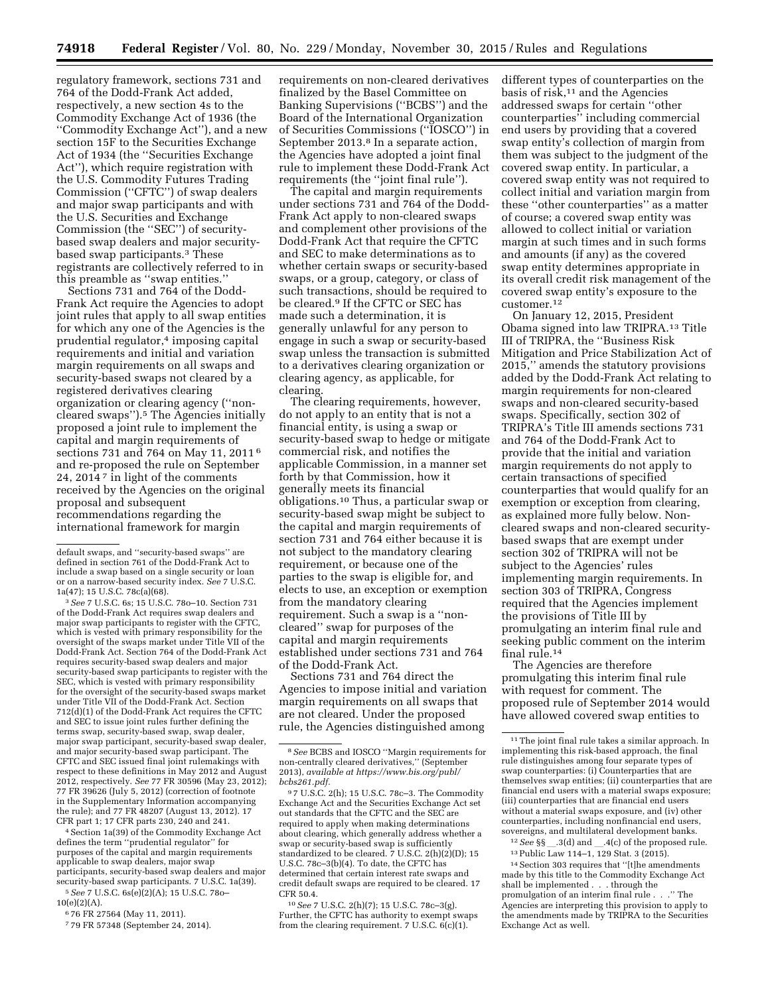regulatory framework, sections 731 and 764 of the Dodd-Frank Act added, respectively, a new section 4s to the Commodity Exchange Act of 1936 (the ''Commodity Exchange Act''), and a new section 15F to the Securities Exchange Act of 1934 (the ''Securities Exchange Act''), which require registration with the U.S. Commodity Futures Trading Commission (''CFTC'') of swap dealers and major swap participants and with the U.S. Securities and Exchange Commission (the ''SEC'') of securitybased swap dealers and major securitybased swap participants.3 These registrants are collectively referred to in this preamble as ''swap entities.''

Sections 731 and 764 of the Dodd-Frank Act require the Agencies to adopt joint rules that apply to all swap entities for which any one of the Agencies is the prudential regulator,4 imposing capital requirements and initial and variation margin requirements on all swaps and security-based swaps not cleared by a registered derivatives clearing organization or clearing agency (''noncleared swaps'').5 The Agencies initially proposed a joint rule to implement the capital and margin requirements of sections 731 and 764 on May 11, 2011 6 and re-proposed the rule on September 24, 2014 7 in light of the comments received by the Agencies on the original proposal and subsequent recommendations regarding the international framework for margin

<sup>3</sup> See 7 U.S.C. 6s; 15 U.S.C. 78o-10. Section 731 of the Dodd-Frank Act requires swap dealers and major swap participants to register with the CFTC, which is vested with primary responsibility for the oversight of the swaps market under Title VII of the Dodd-Frank Act. Section 764 of the Dodd-Frank Act requires security-based swap dealers and major security-based swap participants to register with the SEC, which is vested with primary responsibility for the oversight of the security-based swaps market under Title VII of the Dodd-Frank Act. Section 712(d)(1) of the Dodd-Frank Act requires the CFTC and SEC to issue joint rules further defining the terms swap, security-based swap, swap dealer, major swap participant, security-based swap dealer, and major security-based swap participant. The CFTC and SEC issued final joint rulemakings with respect to these definitions in May 2012 and August 2012, respectively. *See* 77 FR 30596 (May 23, 2012); 77 FR 39626 (July 5, 2012) (correction of footnote in the Supplementary Information accompanying the rule); and 77 FR 48207 (August 13, 2012). 17 CFR part 1; 17 CFR parts 230, 240 and 241.

4Section 1a(39) of the Commodity Exchange Act defines the term ''prudential regulator'' for purposes of the capital and margin requirements applicable to swap dealers, major swap participants, security-based swap dealers and major security-based swap participants. 7 U.S.C. 1a(39).

5*See* 7 U.S.C. 6s(e)(2)(A); 15 U.S.C. 78o– 10(e)(2)(A).

6 76 FR 27564 (May 11, 2011).

7 79 FR 57348 (September 24, 2014).

requirements on non-cleared derivatives finalized by the Basel Committee on Banking Supervisions (''BCBS'') and the Board of the International Organization of Securities Commissions (''IOSCO'') in September 2013.<sup>8</sup> In a separate action, the Agencies have adopted a joint final rule to implement these Dodd-Frank Act requirements (the ''joint final rule'').

The capital and margin requirements under sections 731 and 764 of the Dodd-Frank Act apply to non-cleared swaps and complement other provisions of the Dodd-Frank Act that require the CFTC and SEC to make determinations as to whether certain swaps or security-based swaps, or a group, category, or class of such transactions, should be required to be cleared.9 If the CFTC or SEC has made such a determination, it is generally unlawful for any person to engage in such a swap or security-based swap unless the transaction is submitted to a derivatives clearing organization or clearing agency, as applicable, for clearing.

The clearing requirements, however, do not apply to an entity that is not a financial entity, is using a swap or security-based swap to hedge or mitigate commercial risk, and notifies the applicable Commission, in a manner set forth by that Commission, how it generally meets its financial obligations.10 Thus, a particular swap or security-based swap might be subject to the capital and margin requirements of section 731 and 764 either because it is not subject to the mandatory clearing requirement, or because one of the parties to the swap is eligible for, and elects to use, an exception or exemption from the mandatory clearing requirement. Such a swap is a ''noncleared'' swap for purposes of the capital and margin requirements established under sections 731 and 764 of the Dodd-Frank Act.

Sections 731 and 764 direct the Agencies to impose initial and variation margin requirements on all swaps that are not cleared. Under the proposed rule, the Agencies distinguished among

10*See* 7 U.S.C. 2(h)(7); 15 U.S.C. 78c–3(g). Further, the CFTC has authority to exempt swaps from the clearing requirement. 7 U.S.C. 6(c)(1).

different types of counterparties on the basis of  $risk$ ,<sup>11</sup> and the Agencies addressed swaps for certain ''other counterparties'' including commercial end users by providing that a covered swap entity's collection of margin from them was subject to the judgment of the covered swap entity. In particular, a covered swap entity was not required to collect initial and variation margin from these ''other counterparties'' as a matter of course; a covered swap entity was allowed to collect initial or variation margin at such times and in such forms and amounts (if any) as the covered swap entity determines appropriate in its overall credit risk management of the covered swap entity's exposure to the customer.12

On January 12, 2015, President Obama signed into law TRIPRA.13 Title III of TRIPRA, the ''Business Risk Mitigation and Price Stabilization Act of 2015,'' amends the statutory provisions added by the Dodd-Frank Act relating to margin requirements for non-cleared swaps and non-cleared security-based swaps. Specifically, section 302 of TRIPRA's Title III amends sections 731 and 764 of the Dodd-Frank Act to provide that the initial and variation margin requirements do not apply to certain transactions of specified counterparties that would qualify for an exemption or exception from clearing, as explained more fully below. Noncleared swaps and non-cleared securitybased swaps that are exempt under section 302 of TRIPRA will not be subject to the Agencies' rules implementing margin requirements. In section 303 of TRIPRA, Congress required that the Agencies implement the provisions of Title III by promulgating an interim final rule and seeking public comment on the interim final rule.14

The Agencies are therefore promulgating this interim final rule with request for comment. The proposed rule of September 2014 would have allowed covered swap entities to

 $12$  *See* §§<sub>\_\_</sub>.3(d) and \_\_.4(c) of the proposed rule. 13Public Law 114–1, 129 Stat. 3 (2015).

14Section 303 requires that ''[t]he amendments made by this title to the Commodity Exchange Act shall be implemented . . . through the promulgation of an interim final rule . . .'' The Agencies are interpreting this provision to apply to the amendments made by TRIPRA to the Securities Exchange Act as well.

default swaps, and ''security-based swaps'' are defined in section 761 of the Dodd-Frank Act to include a swap based on a single security or loan or on a narrow-based security index. *See* 7 U.S.C.

<sup>8</sup>*See* BCBS and IOSCO ''Margin requirements for non-centrally cleared derivatives,'' (September 2013), *available at [https://www.bis.org/publ/](https://www.bis.org/publ/bcbs261.pdf) [bcbs261.pdf.](https://www.bis.org/publ/bcbs261.pdf)* 

<sup>9</sup> 7 U.S.C. 2(h); 15 U.S.C. 78c–3. The Commodity Exchange Act and the Securities Exchange Act set out standards that the CFTC and the SEC are required to apply when making determinations about clearing, which generally address whether a swap or security-based swap is sufficiently standardized to be cleared. 7 U.S.C. 2(h)(2)(D); 15 U.S.C. 78c–3(b)(4). To date, the CFTC has determined that certain interest rate swaps and credit default swaps are required to be cleared. 17 CFR 50.4.

<sup>11</sup>The joint final rule takes a similar approach. In implementing this risk-based approach, the final rule distinguishes among four separate types of swap counterparties: (i) Counterparties that are themselves swap entities; (ii) counterparties that are financial end users with a material swaps exposure; (iii) counterparties that are financial end users without a material swaps exposure, and (iv) other counterparties, including nonfinancial end users, sovereigns, and multilateral development banks.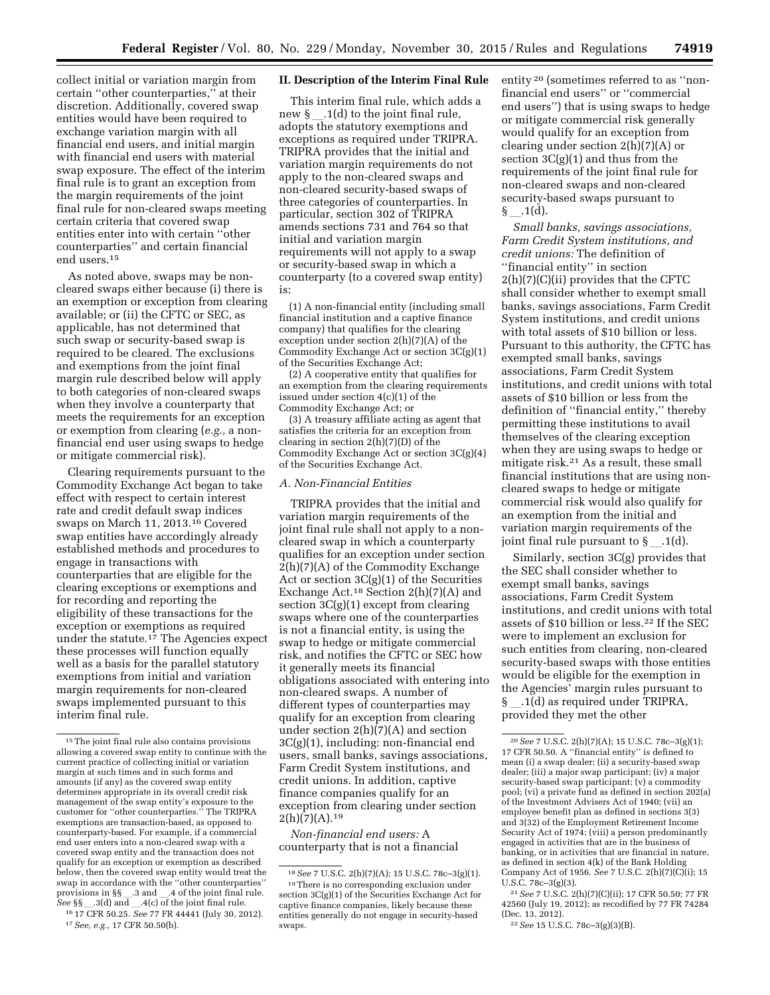collect initial or variation margin from certain ''other counterparties,'' at their discretion. Additionally, covered swap entities would have been required to exchange variation margin with all financial end users, and initial margin with financial end users with material swap exposure. The effect of the interim final rule is to grant an exception from the margin requirements of the joint final rule for non-cleared swaps meeting certain criteria that covered swap entities enter into with certain ''other counterparties'' and certain financial end users.15

As noted above, swaps may be noncleared swaps either because (i) there is an exemption or exception from clearing available; or (ii) the CFTC or SEC, as applicable, has not determined that such swap or security-based swap is required to be cleared. The exclusions and exemptions from the joint final margin rule described below will apply to both categories of non-cleared swaps when they involve a counterparty that meets the requirements for an exception or exemption from clearing (*e.g.,* a nonfinancial end user using swaps to hedge or mitigate commercial risk).

Clearing requirements pursuant to the Commodity Exchange Act began to take effect with respect to certain interest rate and credit default swap indices swaps on March 11, 2013.16 Covered swap entities have accordingly already established methods and procedures to engage in transactions with counterparties that are eligible for the clearing exceptions or exemptions and for recording and reporting the eligibility of these transactions for the exception or exemptions as required under the statute.17 The Agencies expect these processes will function equally well as a basis for the parallel statutory exemptions from initial and variation margin requirements for non-cleared swaps implemented pursuant to this interim final rule.

17*See, e.g.,* 17 CFR 50.50(b).

## **II. Description of the Interim Final Rule**

This interim final rule, which adds a new  $\S$  .1(d) to the joint final rule, adopts the statutory exemptions and exceptions as required under TRIPRA. TRIPRA provides that the initial and variation margin requirements do not apply to the non-cleared swaps and non-cleared security-based swaps of three categories of counterparties. In particular, section 302 of TRIPRA amends sections 731 and 764 so that initial and variation margin requirements will not apply to a swap or security-based swap in which a counterparty (to a covered swap entity) is:

(1) A non-financial entity (including small financial institution and a captive finance company) that qualifies for the clearing exception under section 2(h)(7)(A) of the Commodity Exchange Act or section 3C(g)(1) of the Securities Exchange Act;

(2) A cooperative entity that qualifies for an exemption from the clearing requirements issued under section 4(c)(1) of the Commodity Exchange Act; or

(3) A treasury affiliate acting as agent that satisfies the criteria for an exception from clearing in section 2(h)(7)(D) of the Commodity Exchange Act or section 3C(g)(4) of the Securities Exchange Act.

### *A. Non-Financial Entities*

TRIPRA provides that the initial and variation margin requirements of the joint final rule shall not apply to a noncleared swap in which a counterparty qualifies for an exception under section 2(h)(7)(A) of the Commodity Exchange Act or section 3C(g)(1) of the Securities Exchange Act.18 Section 2(h)(7)(A) and section 3C(g)(1) except from clearing swaps where one of the counterparties is not a financial entity, is using the swap to hedge or mitigate commercial risk, and notifies the CFTC or SEC how it generally meets its financial obligations associated with entering into non-cleared swaps. A number of different types of counterparties may qualify for an exception from clearing under section 2(h)(7)(A) and section 3C(g)(1), including: non-financial end users, small banks, savings associations, Farm Credit System institutions, and credit unions. In addition, captive finance companies qualify for an exception from clearing under section  $2(h)(7)(A).^{19}$ 

*Non-financial end users:* A counterparty that is not a financial entity 20 (sometimes referred to as ''nonfinancial end users'' or ''commercial end users'') that is using swaps to hedge or mitigate commercial risk generally would qualify for an exception from clearing under section  $2(h)(7)(A)$  or section 3C(g)(1) and thus from the requirements of the joint final rule for non-cleared swaps and non-cleared security-based swaps pursuant to  $\S$  .1(d).

*Small banks, savings associations, Farm Credit System institutions, and credit unions:* The definition of ''financial entity'' in section 2(h)(7)(C)(ii) provides that the CFTC shall consider whether to exempt small banks, savings associations, Farm Credit System institutions, and credit unions with total assets of \$10 billion or less. Pursuant to this authority, the CFTC has exempted small banks, savings associations, Farm Credit System institutions, and credit unions with total assets of \$10 billion or less from the definition of ''financial entity,'' thereby permitting these institutions to avail themselves of the clearing exception when they are using swaps to hedge or mitigate risk.21 As a result, these small financial institutions that are using noncleared swaps to hedge or mitigate commercial risk would also qualify for an exemption from the initial and variation margin requirements of the joint final rule pursuant to  $\S$ . 1(d).

Similarly, section 3C(g) provides that the SEC shall consider whether to exempt small banks, savings associations, Farm Credit System institutions, and credit unions with total assets of \$10 billion or less.22 If the SEC were to implement an exclusion for such entities from clearing, non-cleared security-based swaps with those entities would be eligible for the exemption in the Agencies' margin rules pursuant to § .1(d) as required under TRIPRA, provided they met the other

21*See* 7 U.S.C. 2(h)(7)(C)(ii); 17 CFR 50.50; 77 FR 42560 (July 19, 2012); as recodified by 77 FR 74284 (Dec. 13, 2012).

22*See* 15 U.S.C. 78c–3(g)(3)(B).

<sup>15</sup>The joint final rule also contains provisions allowing a covered swap entity to continue with the current practice of collecting initial or variation margin at such times and in such forms and amounts (if any) as the covered swap entity determines appropriate in its overall credit risk management of the swap entity's exposure to the customer for ''other counterparties.'' The TRIPRA exemptions are transaction-based, as opposed to counterparty-based. For example, if a commercial end user enters into a non-cleared swap with a covered swap entity and the transaction does not qualify for an exception or exemption as described below, then the covered swap entity would treat the swap in accordance with the ''other counterparties'' provisions in  $\S\$  .3 and  $\_$ .4 of the joint final rule.<br>See  $\S$ 8 and and and alcohologies in time rule. *See* §§<sub>\_\_</sub>\_\_3(d) and \_\_\_.4(c) of the joint final rule.<br>16.17 CER 50.25 See 77 ER 44444 (July 30, 20 16 17 CFR 50.25. *See* 77 FR 44441 (July 30, 2012).

<sup>18</sup>*See* 7 U.S.C. 2(h)(7)(A); 15 U.S.C. 78c–3(g)(1). 19There is no corresponding exclusion under section 3C(g)(1) of the Securities Exchange Act for captive finance companies, likely because these entities generally do not engage in security-based swaps.

<sup>20</sup>*See* 7 U.S.C. 2(h)(7)(A); 15 U.S.C. 78c–3(g)(1); 17 CFR 50.50. A ''financial entity'' is defined to mean (i) a swap dealer; (ii) a security-based swap dealer; (iii) a major swap participant; (iv) a major security-based swap participant; (v) a commodity pool; (vi) a private fund as defined in section 202(a) of the Investment Advisers Act of 1940; (vii) an employee benefit plan as defined in sections 3(3) and 3(32) of the Employment Retirement Income Security Act of 1974; (viii) a person predominantly engaged in activities that are in the business of banking, or in activities that are financial in nature, as defined in section 4(k) of the Bank Holding Company Act of 1956. *See* 7 U.S.C. 2(h)(7)(C)(i); 15 U.S.C. 78c–3(g)(3).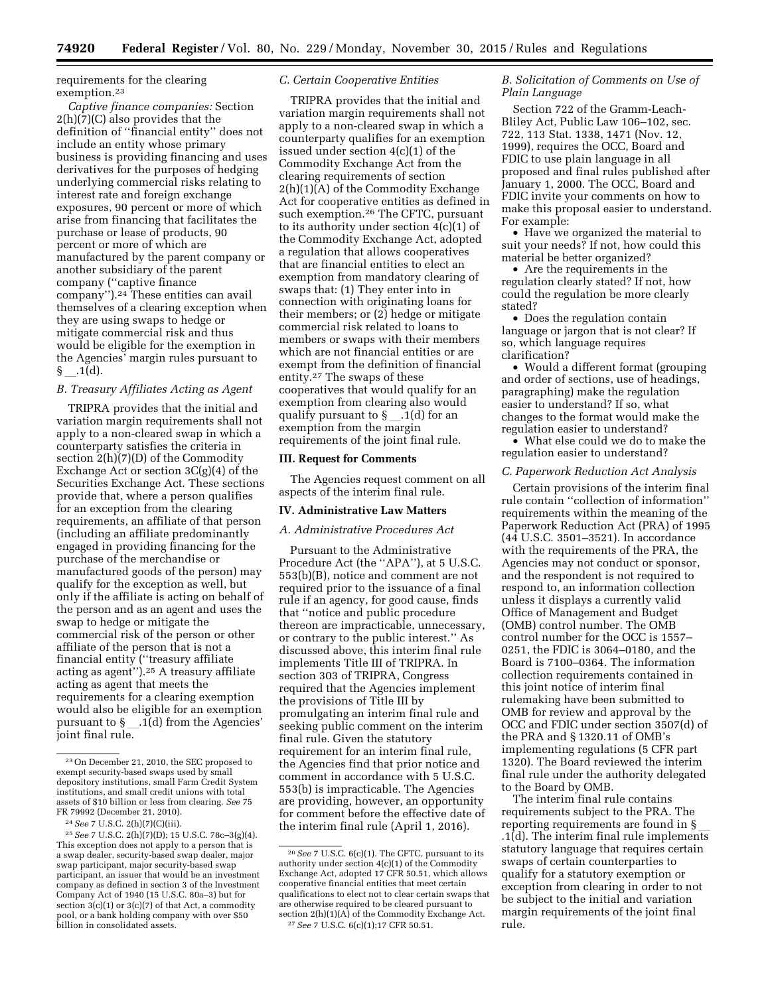requirements for the clearing exemption.23

*Captive finance companies:* Section 2(h)(7)(C) also provides that the definition of ''financial entity'' does not include an entity whose primary business is providing financing and uses derivatives for the purposes of hedging underlying commercial risks relating to interest rate and foreign exchange exposures, 90 percent or more of which arise from financing that facilitates the purchase or lease of products, 90 percent or more of which are manufactured by the parent company or another subsidiary of the parent company (''captive finance company'').24 These entities can avail themselves of a clearing exception when they are using swaps to hedge or mitigate commercial risk and thus would be eligible for the exemption in the Agencies' margin rules pursuant to  $\S$  .1(d).

### *B. Treasury Affiliates Acting as Agent*

TRIPRA provides that the initial and variation margin requirements shall not apply to a non-cleared swap in which a counterparty satisfies the criteria in section 2(h)(7)(D) of the Commodity Exchange Act or section  $3C(g)(4)$  of the Securities Exchange Act. These sections provide that, where a person qualifies for an exception from the clearing requirements, an affiliate of that person (including an affiliate predominantly engaged in providing financing for the purchase of the merchandise or manufactured goods of the person) may qualify for the exception as well, but only if the affiliate is acting on behalf of the person and as an agent and uses the swap to hedge or mitigate the commercial risk of the person or other affiliate of the person that is not a financial entity (''treasury affiliate acting as agent'').25 A treasury affiliate acting as agent that meets the requirements for a clearing exemption would also be eligible for an exemption pursuant to  $\S$  \_ .1(d) from the Agencies' joint final rule.

## *C. Certain Cooperative Entities*

TRIPRA provides that the initial and variation margin requirements shall not apply to a non-cleared swap in which a counterparty qualifies for an exemption issued under section 4(c)(1) of the Commodity Exchange Act from the clearing requirements of section 2(h)(1)(A) of the Commodity Exchange Act for cooperative entities as defined in such exemption.26 The CFTC, pursuant to its authority under section 4(c)(1) of the Commodity Exchange Act, adopted a regulation that allows cooperatives that are financial entities to elect an exemption from mandatory clearing of swaps that: (1) They enter into in connection with originating loans for their members; or (2) hedge or mitigate commercial risk related to loans to members or swaps with their members which are not financial entities or are exempt from the definition of financial entity.27 The swaps of these cooperatives that would qualify for an exemption from clearing also would qualify pursuant to  $\S$  \_\_ .1(d) for an exemption from the margin requirements of the joint final rule.

#### **III. Request for Comments**

The Agencies request comment on all aspects of the interim final rule.

### **IV. Administrative Law Matters**

*A. Administrative Procedures Act* 

Pursuant to the Administrative Procedure Act (the ''APA''), at 5 U.S.C. 553(b)(B), notice and comment are not required prior to the issuance of a final rule if an agency, for good cause, finds that ''notice and public procedure thereon are impracticable, unnecessary, or contrary to the public interest.'' As discussed above, this interim final rule implements Title III of TRIPRA. In section 303 of TRIPRA, Congress required that the Agencies implement the provisions of Title III by promulgating an interim final rule and seeking public comment on the interim final rule. Given the statutory requirement for an interim final rule, the Agencies find that prior notice and comment in accordance with 5 U.S.C. 553(b) is impracticable. The Agencies are providing, however, an opportunity for comment before the effective date of the interim final rule (April 1, 2016).

## *B. Solicitation of Comments on Use of Plain Language*

Section 722 of the Gramm-Leach-Bliley Act, Public Law 106–102, sec. 722, 113 Stat. 1338, 1471 (Nov. 12, 1999), requires the OCC, Board and FDIC to use plain language in all proposed and final rules published after January 1, 2000. The OCC, Board and FDIC invite your comments on how to make this proposal easier to understand. For example:

• Have we organized the material to suit your needs? If not, how could this material be better organized?

• Are the requirements in the regulation clearly stated? If not, how could the regulation be more clearly stated?

• Does the regulation contain language or jargon that is not clear? If so, which language requires clarification?

• Would a different format (grouping and order of sections, use of headings, paragraphing) make the regulation easier to understand? If so, what changes to the format would make the regulation easier to understand?

• What else could we do to make the regulation easier to understand?

#### *C. Paperwork Reduction Act Analysis*

Certain provisions of the interim final rule contain ''collection of information'' requirements within the meaning of the Paperwork Reduction Act (PRA) of 1995 (44 U.S.C. 3501–3521). In accordance with the requirements of the PRA, the Agencies may not conduct or sponsor, and the respondent is not required to respond to, an information collection unless it displays a currently valid Office of Management and Budget (OMB) control number. The OMB control number for the OCC is 1557– 0251, the FDIC is 3064–0180, and the Board is 7100–0364. The information collection requirements contained in this joint notice of interim final rulemaking have been submitted to OMB for review and approval by the OCC and FDIC under section 3507(d) of the PRA and § 1320.11 of OMB's implementing regulations (5 CFR part 1320). The Board reviewed the interim final rule under the authority delegated to the Board by OMB.

The interim final rule contains requirements subject to the PRA. The reporting requirements are found in § .1(d). The interim final rule implements statutory language that requires certain swaps of certain counterparties to qualify for a statutory exemption or exception from clearing in order to not be subject to the initial and variation margin requirements of the joint final rule.

<sup>23</sup>On December 21, 2010, the SEC proposed to exempt security-based swaps used by small depository institutions, small Farm Credit System institutions, and small credit unions with total assets of \$10 billion or less from clearing. *See* 75 FR 79992 (December 21, 2010).

<sup>24</sup>*See* 7 U.S.C. 2(h)(7)(C)(iii).

<sup>25</sup>*See* 7 U.S.C. 2(h)(7)(D); 15 U.S.C. 78c–3(g)(4). This exception does not apply to a person that is a swap dealer, security-based swap dealer, major swap participant, major security-based swap participant, an issuer that would be an investment company as defined in section 3 of the Investment Company Act of 1940 (15 U.S.C. 80a–3) but for section  $3(c)(1)$  or  $3(c)(7)$  of that Act, a commodity pool, or a bank holding company with over \$50 billion in consolidated assets.

<sup>26</sup>*See* 7 U.S.C. 6(c)(1). The CFTC, pursuant to its authority under section 4(c)(1) of the Commodity Exchange Act, adopted 17 CFR 50.51, which allows cooperative financial entities that meet certain qualifications to elect not to clear certain swaps that are otherwise required to be cleared pursuant to section 2(h)(1)(A) of the Commodity Exchange Act. 27*See* 7 U.S.C. 6(c)(1);17 CFR 50.51.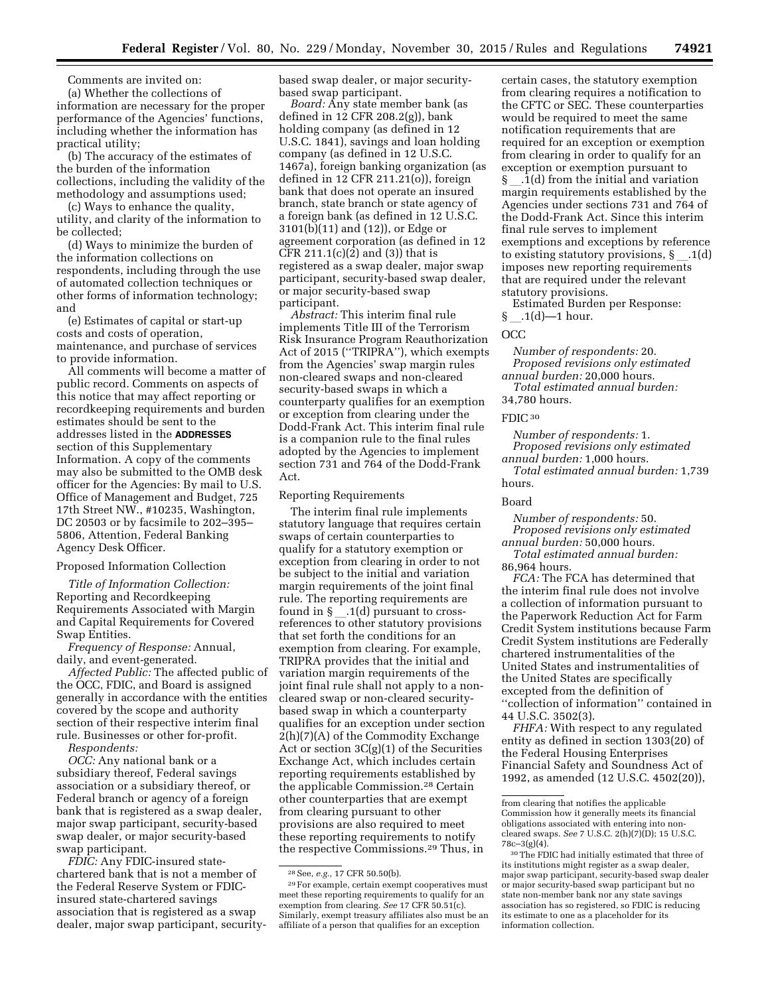Comments are invited on:

(a) Whether the collections of information are necessary for the proper performance of the Agencies' functions, including whether the information has practical utility;

(b) The accuracy of the estimates of the burden of the information collections, including the validity of the methodology and assumptions used;

(c) Ways to enhance the quality, utility, and clarity of the information to be collected;

(d) Ways to minimize the burden of the information collections on respondents, including through the use of automated collection techniques or other forms of information technology; and

(e) Estimates of capital or start-up costs and costs of operation, maintenance, and purchase of services to provide information.

All comments will become a matter of public record. Comments on aspects of this notice that may affect reporting or recordkeeping requirements and burden estimates should be sent to the addresses listed in the **ADDRESSES** section of this Supplementary Information. A copy of the comments may also be submitted to the OMB desk officer for the Agencies: By mail to U.S. Office of Management and Budget, 725 17th Street NW., #10235, Washington, DC 20503 or by facsimile to 202–395– 5806, Attention, Federal Banking Agency Desk Officer.

## Proposed Information Collection

*Title of Information Collection:*  Reporting and Recordkeeping Requirements Associated with Margin and Capital Requirements for Covered Swap Entities.

*Frequency of Response:* Annual, daily, and event-generated.

*Affected Public:* The affected public of the OCC, FDIC, and Board is assigned generally in accordance with the entities covered by the scope and authority section of their respective interim final rule. Businesses or other for-profit.

*Respondents:* 

*OCC:* Any national bank or a subsidiary thereof, Federal savings association or a subsidiary thereof, or Federal branch or agency of a foreign bank that is registered as a swap dealer, major swap participant, security-based swap dealer, or major security-based swap participant.

*FDIC:* Any FDIC-insured statechartered bank that is not a member of the Federal Reserve System or FDICinsured state-chartered savings association that is registered as a swap dealer, major swap participant, securitybased swap dealer, or major securitybased swap participant.

*Board:* Any state member bank (as defined in 12 CFR 208.2(g)), bank holding company (as defined in 12 U.S.C. 1841), savings and loan holding company (as defined in 12 U.S.C. 1467a), foreign banking organization (as defined in 12 CFR 211.21(o)), foreign bank that does not operate an insured branch, state branch or state agency of a foreign bank (as defined in 12 U.S.C. 3101(b)(11) and (12)), or Edge or agreement corporation (as defined in 12 CFR 211.1(c)(2) and (3)) that is registered as a swap dealer, major swap participant, security-based swap dealer, or major security-based swap participant.

*Abstract:* This interim final rule implements Title III of the Terrorism Risk Insurance Program Reauthorization Act of 2015 (''TRIPRA''), which exempts from the Agencies' swap margin rules non-cleared swaps and non-cleared security-based swaps in which a counterparty qualifies for an exemption or exception from clearing under the Dodd-Frank Act. This interim final rule is a companion rule to the final rules adopted by the Agencies to implement section 731 and 764 of the Dodd-Frank Act.

#### Reporting Requirements

The interim final rule implements statutory language that requires certain swaps of certain counterparties to qualify for a statutory exemption or exception from clearing in order to not be subject to the initial and variation margin requirements of the joint final rule. The reporting requirements are found in  $\S$  \_1(d) pursuant to crossreferences to other statutory provisions that set forth the conditions for an exemption from clearing. For example, TRIPRA provides that the initial and variation margin requirements of the joint final rule shall not apply to a noncleared swap or non-cleared securitybased swap in which a counterparty qualifies for an exception under section 2(h)(7)(A) of the Commodity Exchange Act or section 3C(g)(1) of the Securities Exchange Act, which includes certain reporting requirements established by the applicable Commission.28 Certain other counterparties that are exempt from clearing pursuant to other provisions are also required to meet these reporting requirements to notify the respective Commissions.29 Thus, in

certain cases, the statutory exemption from clearing requires a notification to the CFTC or SEC. These counterparties would be required to meet the same notification requirements that are required for an exception or exemption from clearing in order to qualify for an exception or exemption pursuant to  $\S$  \_\_ .1(d) from the initial and variation margin requirements established by the Agencies under sections 731 and 764 of the Dodd-Frank Act. Since this interim final rule serves to implement exemptions and exceptions by reference to existing statutory provisions,  $\S$ .1(d) imposes new reporting requirements that are required under the relevant statutory provisions.

Estimated Burden per Response:  $\S$  .1(d)—1 hour.

### OCC

*Number of respondents:* 20. *Proposed revisions only estimated annual burden:* 20,000 hours. *Total estimated annual burden:*  34,780 hours.

FDIC<sub>30</sub>

*Number of respondents:* 1. *Proposed revisions only estimated annual burden:* 1,000 hours. *Total estimated annual burden:* 1,739 hours.

#### Board

*Number of respondents:* 50. *Proposed revisions only estimated annual burden:* 50,000 hours.

*Total estimated annual burden:*  86,964 hours.

*FCA:* The FCA has determined that the interim final rule does not involve a collection of information pursuant to the Paperwork Reduction Act for Farm Credit System institutions because Farm Credit System institutions are Federally chartered instrumentalities of the United States and instrumentalities of the United States are specifically excepted from the definition of ''collection of information'' contained in 44 U.S.C. 3502(3).

*FHFA:* With respect to any regulated entity as defined in section 1303(20) of the Federal Housing Enterprises Financial Safety and Soundness Act of 1992, as amended (12 U.S.C. 4502(20)),

<sup>28</sup>See, *e.g.,* 17 CFR 50.50(b).

<sup>29</sup>For example, certain exempt cooperatives must meet these reporting requirements to qualify for an exemption from clearing. *See* 17 CFR 50.51(c). Similarly, exempt treasury affiliates also must be an affiliate of a person that qualifies for an exception

from clearing that notifies the applicable Commission how it generally meets its financial obligations associated with entering into noncleared swaps. *See* 7 U.S.C. 2(h)(7)(D); 15 U.S.C. 78c–3(g)(4).

<sup>30</sup>The FDIC had initially estimated that three of its institutions might register as a swap dealer, major swap participant, security-based swap dealer or major security-based swap participant but no state non-member bank nor any state savings association has so registered, so FDIC is reducing its estimate to one as a placeholder for its information collection.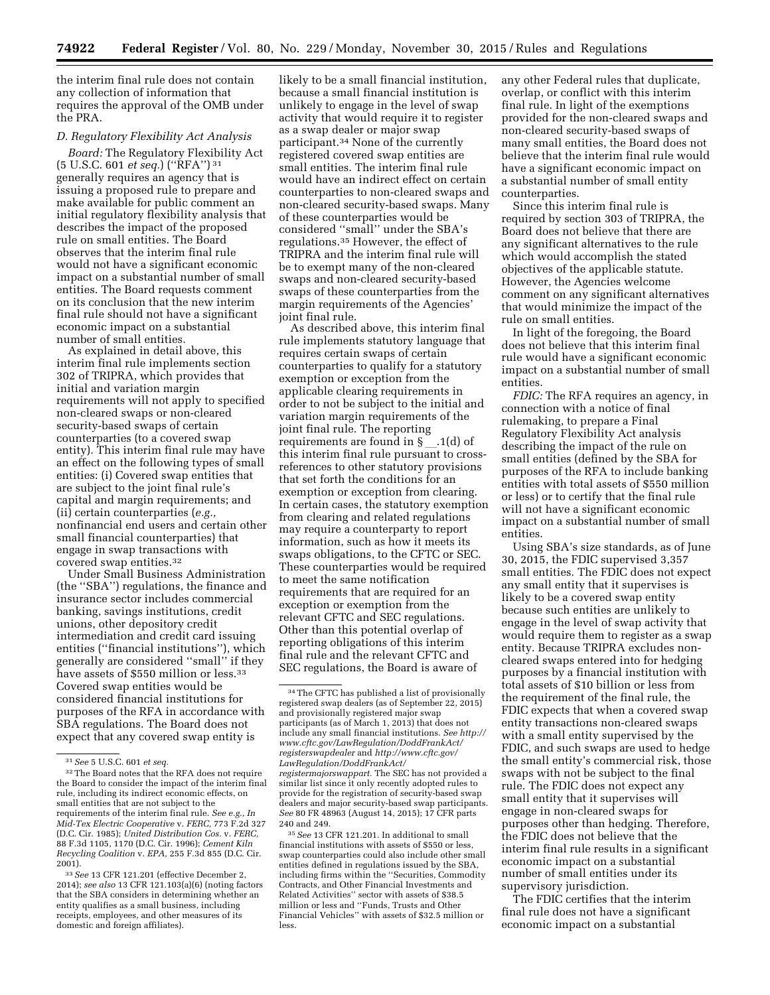the interim final rule does not contain any collection of information that requires the approval of the OMB under the PRA.

#### *D. Regulatory Flexibility Act Analysis*

*Board:* The Regulatory Flexibility Act (5 U.S.C. 601 *et seq.*) (''RFA'') 31 generally requires an agency that is issuing a proposed rule to prepare and make available for public comment an initial regulatory flexibility analysis that describes the impact of the proposed rule on small entities. The Board observes that the interim final rule would not have a significant economic impact on a substantial number of small entities. The Board requests comment on its conclusion that the new interim final rule should not have a significant economic impact on a substantial number of small entities.

As explained in detail above, this interim final rule implements section 302 of TRIPRA, which provides that initial and variation margin requirements will not apply to specified non-cleared swaps or non-cleared security-based swaps of certain counterparties (to a covered swap entity). This interim final rule may have an effect on the following types of small entities: (i) Covered swap entities that are subject to the joint final rule's capital and margin requirements; and (ii) certain counterparties (*e.g.,*  nonfinancial end users and certain other small financial counterparties) that engage in swap transactions with covered swap entities.32

Under Small Business Administration (the ''SBA'') regulations, the finance and insurance sector includes commercial banking, savings institutions, credit unions, other depository credit intermediation and credit card issuing entities (''financial institutions''), which generally are considered ''small'' if they have assets of \$550 million or less.<sup>33</sup> Covered swap entities would be considered financial institutions for purposes of the RFA in accordance with SBA regulations. The Board does not expect that any covered swap entity is

likely to be a small financial institution, because a small financial institution is unlikely to engage in the level of swap activity that would require it to register as a swap dealer or major swap participant.34 None of the currently registered covered swap entities are small entities. The interim final rule would have an indirect effect on certain counterparties to non-cleared swaps and non-cleared security-based swaps. Many of these counterparties would be considered ''small'' under the SBA's regulations.35 However, the effect of TRIPRA and the interim final rule will be to exempt many of the non-cleared swaps and non-cleared security-based swaps of these counterparties from the margin requirements of the Agencies' joint final rule.

As described above, this interim final rule implements statutory language that requires certain swaps of certain counterparties to qualify for a statutory exemption or exception from the applicable clearing requirements in order to not be subject to the initial and variation margin requirements of the joint final rule. The reporting requirements are found in  $\S$  \_1(d) of this interim final rule pursuant to crossreferences to other statutory provisions that set forth the conditions for an exemption or exception from clearing. In certain cases, the statutory exemption from clearing and related regulations may require a counterparty to report information, such as how it meets its swaps obligations, to the CFTC or SEC. These counterparties would be required to meet the same notification requirements that are required for an exception or exemption from the relevant CFTC and SEC regulations. Other than this potential overlap of reporting obligations of this interim final rule and the relevant CFTC and SEC regulations, the Board is aware of

35*See* 13 CFR 121.201. In additional to small financial institutions with assets of \$550 or less, swap counterparties could also include other small entities defined in regulations issued by the SBA, including firms within the ''Securities, Commodity Contracts, and Other Financial Investments and Related Activities'' sector with assets of \$38.5 million or less and ''Funds, Trusts and Other Financial Vehicles'' with assets of \$32.5 million or less.

any other Federal rules that duplicate, overlap, or conflict with this interim final rule. In light of the exemptions provided for the non-cleared swaps and non-cleared security-based swaps of many small entities, the Board does not believe that the interim final rule would have a significant economic impact on a substantial number of small entity counterparties.

Since this interim final rule is required by section 303 of TRIPRA, the Board does not believe that there are any significant alternatives to the rule which would accomplish the stated objectives of the applicable statute. However, the Agencies welcome comment on any significant alternatives that would minimize the impact of the rule on small entities.

In light of the foregoing, the Board does not believe that this interim final rule would have a significant economic impact on a substantial number of small entities.

*FDIC:* The RFA requires an agency, in connection with a notice of final rulemaking, to prepare a Final Regulatory Flexibility Act analysis describing the impact of the rule on small entities (defined by the SBA for purposes of the RFA to include banking entities with total assets of \$550 million or less) or to certify that the final rule will not have a significant economic impact on a substantial number of small entities.

Using SBA's size standards, as of June 30, 2015, the FDIC supervised 3,357 small entities. The FDIC does not expect any small entity that it supervises is likely to be a covered swap entity because such entities are unlikely to engage in the level of swap activity that would require them to register as a swap entity. Because TRIPRA excludes noncleared swaps entered into for hedging purposes by a financial institution with total assets of \$10 billion or less from the requirement of the final rule, the FDIC expects that when a covered swap entity transactions non-cleared swaps with a small entity supervised by the FDIC, and such swaps are used to hedge the small entity's commercial risk, those swaps with not be subject to the final rule. The FDIC does not expect any small entity that it supervises will engage in non-cleared swaps for purposes other than hedging. Therefore, the FDIC does not believe that the interim final rule results in a significant economic impact on a substantial number of small entities under its supervisory jurisdiction.

The FDIC certifies that the interim final rule does not have a significant economic impact on a substantial

<sup>31</sup>*See* 5 U.S.C. 601 *et seq.* 

<sup>&</sup>lt;sup>32</sup> The Board notes that the RFA does not require the Board to consider the impact of the interim final rule, including its indirect economic effects, on small entities that are not subject to the requirements of the interim final rule. *See e.g., In Mid-Tex Electric Cooperative* v. *FERC,* 773 F.2d 327 (D.C. Cir. 1985); *United Distribution Cos.* v. *FERC,*  88 F.3d 1105, 1170 (D.C. Cir. 1996); *Cement Kiln Recycling Coalition* v. *EPA,* 255 F.3d 855 (D.C. Cir. 2001).

<sup>33</sup>*See* 13 CFR 121.201 (effective December 2, 2014); *see also* 13 CFR 121.103(a)(6) (noting factors that the SBA considers in determining whether an entity qualifies as a small business, including receipts, employees, and other measures of its domestic and foreign affiliates).

<sup>34</sup>The CFTC has published a list of provisionally registered swap dealers (as of September 22, 2015) and provisionally registered major swap participants (as of March 1, 2013) that does not include any small financial institutions. *See [http://](http://www.cftc.gov/LawRegulation/DoddFrankAct/registerswapdealer) [www.cftc.gov/LawRegulation/DoddFrankAct/](http://www.cftc.gov/LawRegulation/DoddFrankAct/registerswapdealer) [registerswapdealer](http://www.cftc.gov/LawRegulation/DoddFrankAct/registerswapdealer)* and *[http://www.cftc.gov/](http://www.cftc.gov/LawRegulation/DoddFrankAct/registermajorswappart) [LawRegulation/DoddFrankAct/](http://www.cftc.gov/LawRegulation/DoddFrankAct/registermajorswappart) [registermajorswappart.](http://www.cftc.gov/LawRegulation/DoddFrankAct/registermajorswappart)* The SEC has not provided a similar list since it only recently adopted rules to provide for the registration of security-based swap dealers and major security-based swap participants. *See* 80 FR 48963 (August 14, 2015); 17 CFR parts 240 and 249.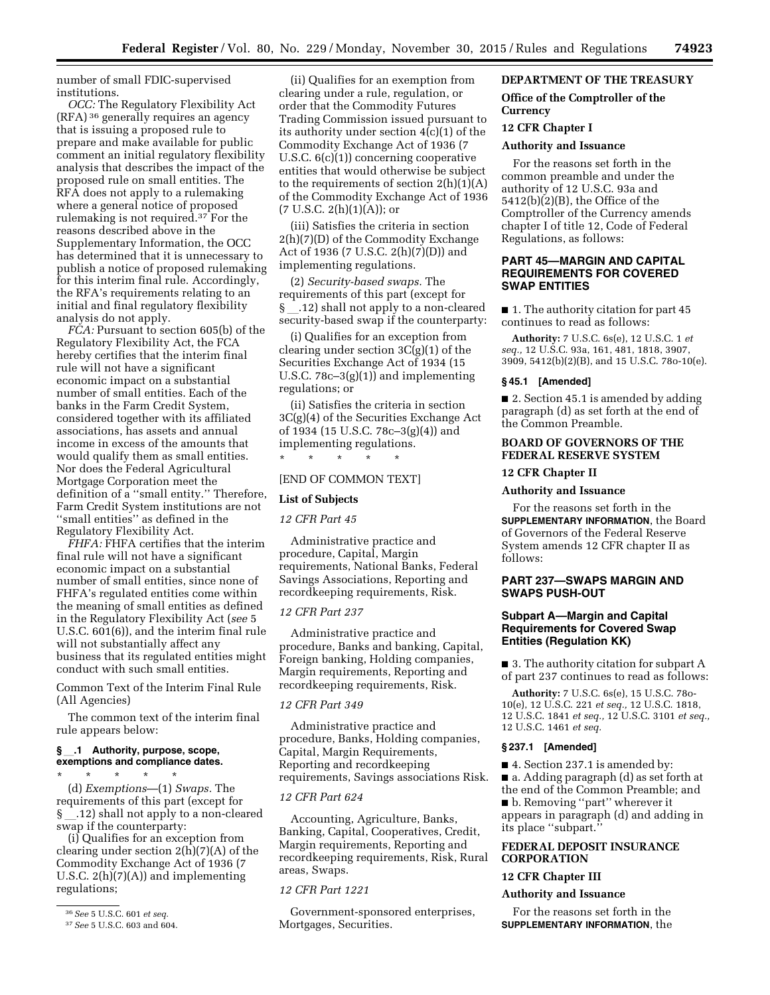number of small FDIC-supervised institutions.

*OCC:* The Regulatory Flexibility Act (RFA) 36 generally requires an agency that is issuing a proposed rule to prepare and make available for public comment an initial regulatory flexibility analysis that describes the impact of the proposed rule on small entities. The RFA does not apply to a rulemaking where a general notice of proposed rulemaking is not required.37 For the reasons described above in the Supplementary Information, the OCC has determined that it is unnecessary to publish a notice of proposed rulemaking for this interim final rule. Accordingly, the RFA's requirements relating to an initial and final regulatory flexibility analysis do not apply.

*FCA:* Pursuant to section 605(b) of the Regulatory Flexibility Act, the FCA hereby certifies that the interim final rule will not have a significant economic impact on a substantial number of small entities. Each of the banks in the Farm Credit System, considered together with its affiliated associations, has assets and annual income in excess of the amounts that would qualify them as small entities. Nor does the Federal Agricultural Mortgage Corporation meet the definition of a ''small entity.'' Therefore, Farm Credit System institutions are not ''small entities'' as defined in the Regulatory Flexibility Act.

*FHFA:* FHFA certifies that the interim final rule will not have a significant economic impact on a substantial number of small entities, since none of FHFA's regulated entities come within the meaning of small entities as defined in the Regulatory Flexibility Act (*see* 5 U.S.C. 601(6)), and the interim final rule will not substantially affect any business that its regulated entities might conduct with such small entities.

Common Text of the Interim Final Rule (All Agencies)

The common text of the interim final rule appears below:

### **§**l**.1 Authority, purpose, scope, exemptions and compliance dates.**

\* \* \* \* \* (d) *Exemptions*—(1) *Swaps.* The requirements of this part (except for § l.12) shall not apply to a non-cleared swap if the counterparty:

(i) Qualifies for an exception from clearing under section 2(h)(7)(A) of the Commodity Exchange Act of 1936 (7 U.S.C. 2(h)(7)(A)) and implementing regulations;

(ii) Qualifies for an exemption from clearing under a rule, regulation, or order that the Commodity Futures Trading Commission issued pursuant to its authority under section 4(c)(1) of the Commodity Exchange Act of 1936 (7 U.S.C. 6(c)(1)) concerning cooperative entities that would otherwise be subject to the requirements of section  $2(h)(1)(A)$ of the Commodity Exchange Act of 1936  $(7 \text{ U.S.C. } 2(h)(1)(A))$ ; or

(iii) Satisfies the criteria in section 2(h)(7)(D) of the Commodity Exchange Act of 1936 (7 U.S.C. 2(h)(7)(D)) and implementing regulations.

(2) *Security-based swaps.* The requirements of this part (except for § l.12) shall not apply to a non-cleared security-based swap if the counterparty:

(i) Qualifies for an exception from clearing under section 3C(g)(1) of the Securities Exchange Act of 1934 (15 U.S.C. 78c–3(g)(1)) and implementing regulations; or

(ii) Satisfies the criteria in section 3C(g)(4) of the Securities Exchange Act of 1934 (15 U.S.C. 78c–3(g)(4)) and implementing regulations.

#### [END OF COMMON TEXT]

\* \* \* \* \*

#### **List of Subjects**

*12 CFR Part 45* 

Administrative practice and procedure, Capital, Margin requirements, National Banks, Federal Savings Associations, Reporting and recordkeeping requirements, Risk.

### *12 CFR Part 237*

Administrative practice and procedure, Banks and banking, Capital, Foreign banking, Holding companies, Margin requirements, Reporting and recordkeeping requirements, Risk.

#### *12 CFR Part 349*

Administrative practice and procedure, Banks, Holding companies, Capital, Margin Requirements, Reporting and recordkeeping requirements, Savings associations Risk.

### *12 CFR Part 624*

Accounting, Agriculture, Banks, Banking, Capital, Cooperatives, Credit, Margin requirements, Reporting and recordkeeping requirements, Risk, Rural areas, Swaps.

### *12 CFR Part 1221*

Government-sponsored enterprises, Mortgages, Securities.

## **DEPARTMENT OF THE TREASURY**

## **Office of the Comptroller of the Currency**

#### **12 CFR Chapter I**

## **Authority and Issuance**

For the reasons set forth in the common preamble and under the authority of 12 U.S.C. 93a and 5412(b)(2)(B), the Office of the Comptroller of the Currency amends chapter I of title 12, Code of Federal Regulations, as follows:

## **PART 45—MARGIN AND CAPITAL REQUIREMENTS FOR COVERED SWAP ENTITIES**

■ 1. The authority citation for part 45 continues to read as follows:

**Authority:** 7 U.S.C. 6s(e), 12 U.S.C. 1 *et seq.,* 12 U.S.C. 93a, 161, 481, 1818, 3907, 3909, 5412(b)(2)(B), and 15 U.S.C. 78o-10(e).

#### **§ 45.1 [Amended]**

■ 2. Section 45.1 is amended by adding paragraph (d) as set forth at the end of the Common Preamble.

## **BOARD OF GOVERNORS OF THE FEDERAL RESERVE SYSTEM**

#### **12 CFR Chapter II**

### **Authority and Issuance**

For the reasons set forth in the **SUPPLEMENTARY INFORMATION**, the Board of Governors of the Federal Reserve System amends 12 CFR chapter II as follows:

## **PART 237—SWAPS MARGIN AND SWAPS PUSH-OUT**

## **Subpart A—Margin and Capital Requirements for Covered Swap Entities (Regulation KK)**

■ 3. The authority citation for subpart A of part 237 continues to read as follows:

**Authority:** 7 U.S.C. 6s(e), 15 U.S.C. 78o-10(e), 12 U.S.C. 221 *et seq.,* 12 U.S.C. 1818, 12 U.S.C. 1841 *et seq.,* 12 U.S.C. 3101 *et seq.,*  12 U.S.C. 1461 *et seq.* 

## **§ 237.1 [Amended]**

■ 4. Section 237.1 is amended by: ■ a. Adding paragraph (d) as set forth at the end of the Common Preamble; and ■ b. Removing ''part'' wherever it appears in paragraph (d) and adding in its place ''subpart.''

## **FEDERAL DEPOSIT INSURANCE CORPORATION**

#### **12 CFR Chapter III**

#### **Authority and Issuance**

For the reasons set forth in the **SUPPLEMENTARY INFORMATION**, the

<sup>36</sup>*See* 5 U.S.C. 601 *et seq.* 

<sup>37</sup>*See* 5 U.S.C. 603 and 604.